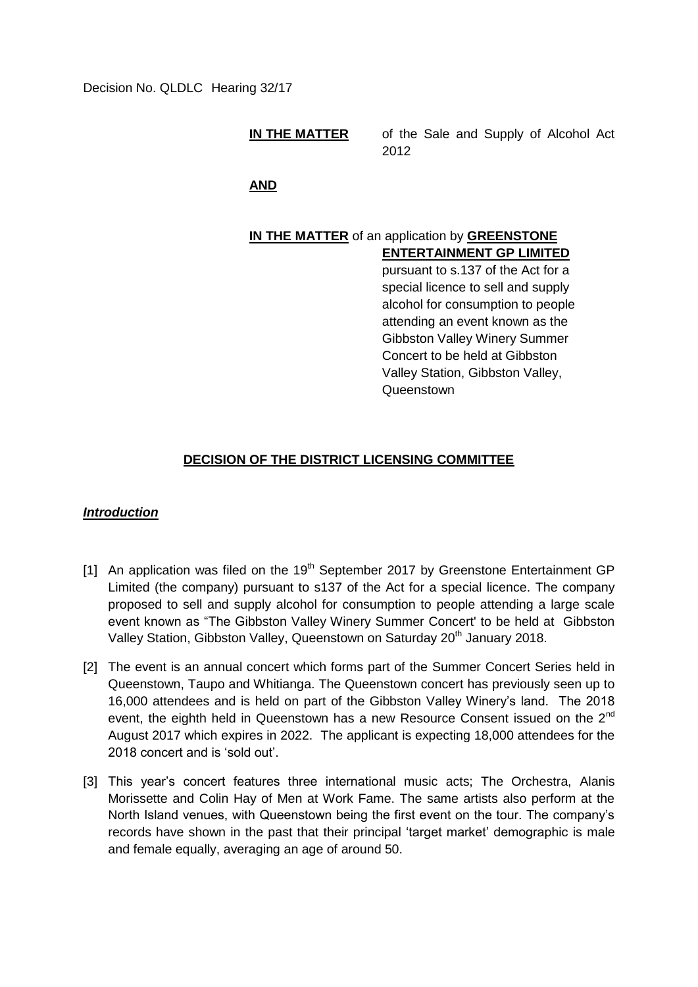Decision No. QLDLC Hearing 32/17

**IN THE MATTER** of the Sale and Supply of Alcohol Act 2012

**AND**

## **IN THE MATTER** of an application by **GREENSTONE ENTERTAINMENT GP LIMITED**

pursuant to s.137 of the Act for a special licence to sell and supply alcohol for consumption to people attending an event known as the Gibbston Valley Winery Summer Concert to be held at Gibbston Valley Station, Gibbston Valley, Queenstown

# **DECISION OF THE DISTRICT LICENSING COMMITTEE**

## *Introduction*

- [1] An application was filed on the  $19<sup>th</sup>$  September 2017 by Greenstone Entertainment GP Limited (the company) pursuant to s137 of the Act for a special licence. The company proposed to sell and supply alcohol for consumption to people attending a large scale event known as "The Gibbston Valley Winery Summer Concert' to be held at Gibbston Valley Station, Gibbston Valley, Queenstown on Saturday 20<sup>th</sup> January 2018.
- [2] The event is an annual concert which forms part of the Summer Concert Series held in Queenstown, Taupo and Whitianga. The Queenstown concert has previously seen up to 16,000 attendees and is held on part of the Gibbston Valley Winery's land. The 2018 event, the eighth held in Queenstown has a new Resource Consent issued on the 2<sup>nd</sup> August 2017 which expires in 2022. The applicant is expecting 18,000 attendees for the 2018 concert and is 'sold out'.
- [3] This year's concert features three international music acts; The Orchestra, Alanis Morissette and Colin Hay of Men at Work Fame. The same artists also perform at the North Island venues, with Queenstown being the first event on the tour. The company's records have shown in the past that their principal 'target market' demographic is male and female equally, averaging an age of around 50.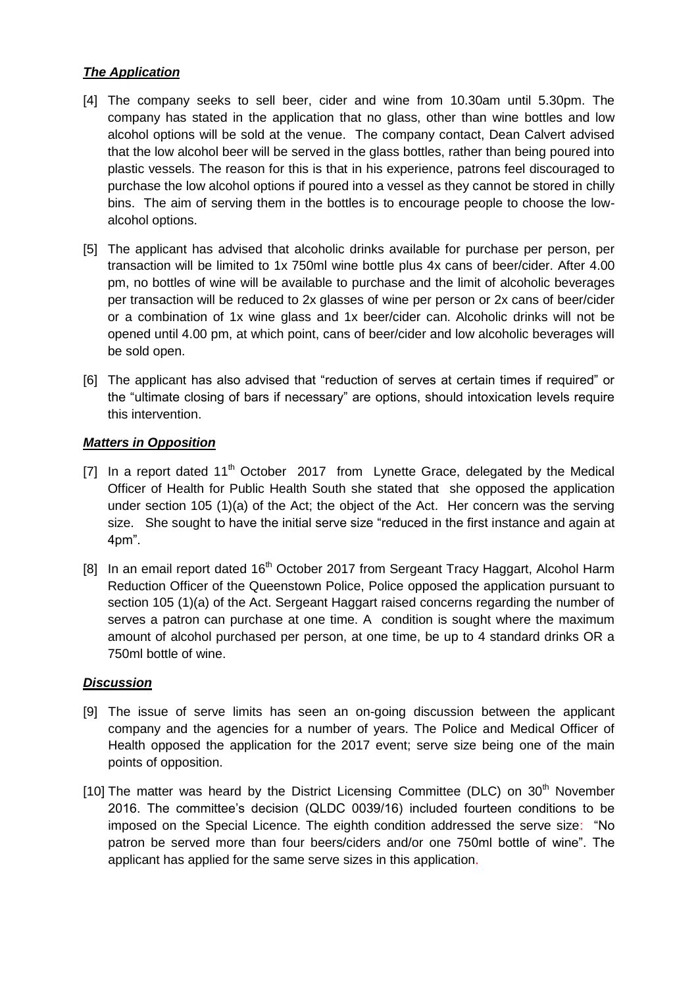# *The Application*

- [4] The company seeks to sell beer, cider and wine from 10.30am until 5.30pm. The company has stated in the application that no glass, other than wine bottles and low alcohol options will be sold at the venue. The company contact, Dean Calvert advised that the low alcohol beer will be served in the glass bottles, rather than being poured into plastic vessels. The reason for this is that in his experience, patrons feel discouraged to purchase the low alcohol options if poured into a vessel as they cannot be stored in chilly bins. The aim of serving them in the bottles is to encourage people to choose the lowalcohol options.
- [5] The applicant has advised that alcoholic drinks available for purchase per person, per transaction will be limited to 1x 750ml wine bottle plus 4x cans of beer/cider. After 4.00 pm, no bottles of wine will be available to purchase and the limit of alcoholic beverages per transaction will be reduced to 2x glasses of wine per person or 2x cans of beer/cider or a combination of 1x wine glass and 1x beer/cider can. Alcoholic drinks will not be opened until 4.00 pm, at which point, cans of beer/cider and low alcoholic beverages will be sold open.
- [6] The applicant has also advised that "reduction of serves at certain times if required" or the "ultimate closing of bars if necessary" are options, should intoxication levels require this intervention.

# *Matters in Opposition*

- [7] In a report dated 11<sup>th</sup> October 2017 from Lynette Grace, delegated by the Medical Officer of Health for Public Health South she stated that she opposed the application under section 105 (1)(a) of the Act; the object of the Act. Her concern was the serving size. She sought to have the initial serve size "reduced in the first instance and again at 4pm".
- [8] In an email report dated 16<sup>th</sup> October 2017 from Sergeant Tracy Haggart, Alcohol Harm Reduction Officer of the Queenstown Police, Police opposed the application pursuant to section 105 (1)(a) of the Act. Sergeant Haggart raised concerns regarding the number of serves a patron can purchase at one time. A condition is sought where the maximum amount of alcohol purchased per person, at one time, be up to 4 standard drinks OR a 750ml bottle of wine.

## *Discussion*

- [9] The issue of serve limits has seen an on-going discussion between the applicant company and the agencies for a number of years. The Police and Medical Officer of Health opposed the application for the 2017 event; serve size being one of the main points of opposition.
- [10] The matter was heard by the District Licensing Committee (DLC) on  $30<sup>th</sup>$  November 2016. The committee's decision (QLDC 0039/16) included fourteen conditions to be imposed on the Special Licence. The eighth condition addressed the serve size: "No patron be served more than four beers/ciders and/or one 750ml bottle of wine". The applicant has applied for the same serve sizes in this application.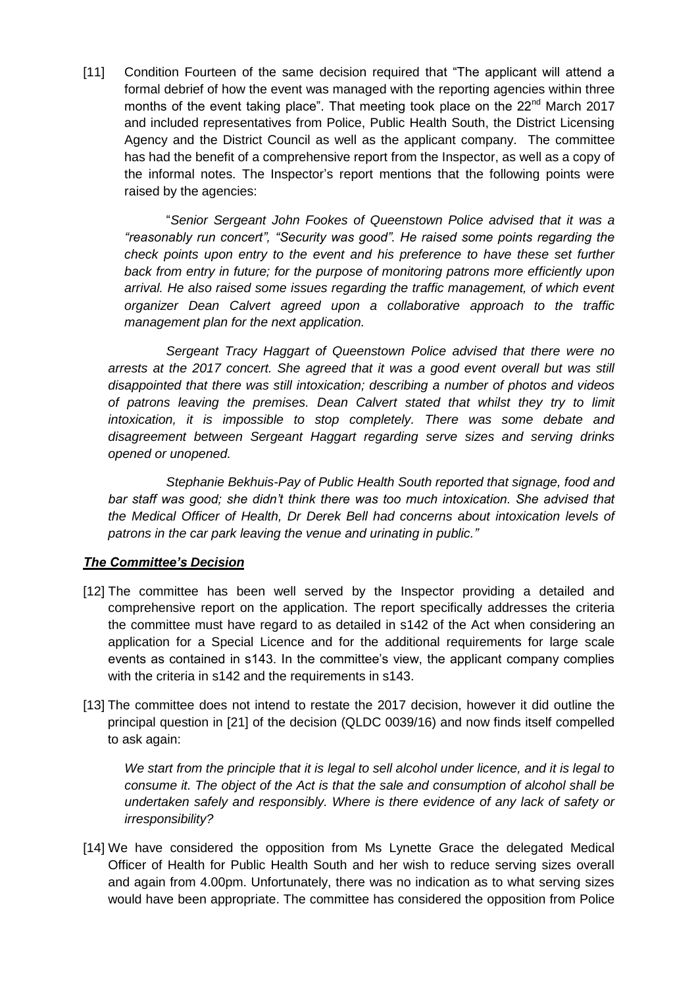[11] Condition Fourteen of the same decision required that "The applicant will attend a formal debrief of how the event was managed with the reporting agencies within three months of the event taking place". That meeting took place on the  $22<sup>nd</sup>$  March 2017 and included representatives from Police, Public Health South, the District Licensing Agency and the District Council as well as the applicant company. The committee has had the benefit of a comprehensive report from the Inspector, as well as a copy of the informal notes. The Inspector's report mentions that the following points were raised by the agencies:

"*Senior Sergeant John Fookes of Queenstown Police advised that it was a "reasonably run concert", "Security was good". He raised some points regarding the check points upon entry to the event and his preference to have these set further back from entry in future; for the purpose of monitoring patrons more efficiently upon arrival. He also raised some issues regarding the traffic management, of which event organizer Dean Calvert agreed upon a collaborative approach to the traffic management plan for the next application.* 

 *Sergeant Tracy Haggart of Queenstown Police advised that there were no arrests at the 2017 concert. She agreed that it was a good event overall but was still disappointed that there was still intoxication; describing a number of photos and videos of patrons leaving the premises. Dean Calvert stated that whilst they try to limit intoxication, it is impossible to stop completely. There was some debate and disagreement between Sergeant Haggart regarding serve sizes and serving drinks opened or unopened.* 

 *Stephanie Bekhuis-Pay of Public Health South reported that signage, food and bar staff was good; she didn't think there was too much intoxication. She advised that the Medical Officer of Health, Dr Derek Bell had concerns about intoxication levels of patrons in the car park leaving the venue and urinating in public."*

## *The Committee's Decision*

- [12] The committee has been well served by the Inspector providing a detailed and comprehensive report on the application. The report specifically addresses the criteria the committee must have regard to as detailed in s142 of the Act when considering an application for a Special Licence and for the additional requirements for large scale events as contained in s143. In the committee's view, the applicant company complies with the criteria in s142 and the requirements in s143.
- [13] The committee does not intend to restate the 2017 decision, however it did outline the principal question in [21] of the decision (QLDC 0039/16) and now finds itself compelled to ask again:

*We start from the principle that it is legal to sell alcohol under licence, and it is legal to consume it. The object of the Act is that the sale and consumption of alcohol shall be undertaken safely and responsibly. Where is there evidence of any lack of safety or irresponsibility?*

[14] We have considered the opposition from Ms Lynette Grace the delegated Medical Officer of Health for Public Health South and her wish to reduce serving sizes overall and again from 4.00pm. Unfortunately, there was no indication as to what serving sizes would have been appropriate. The committee has considered the opposition from Police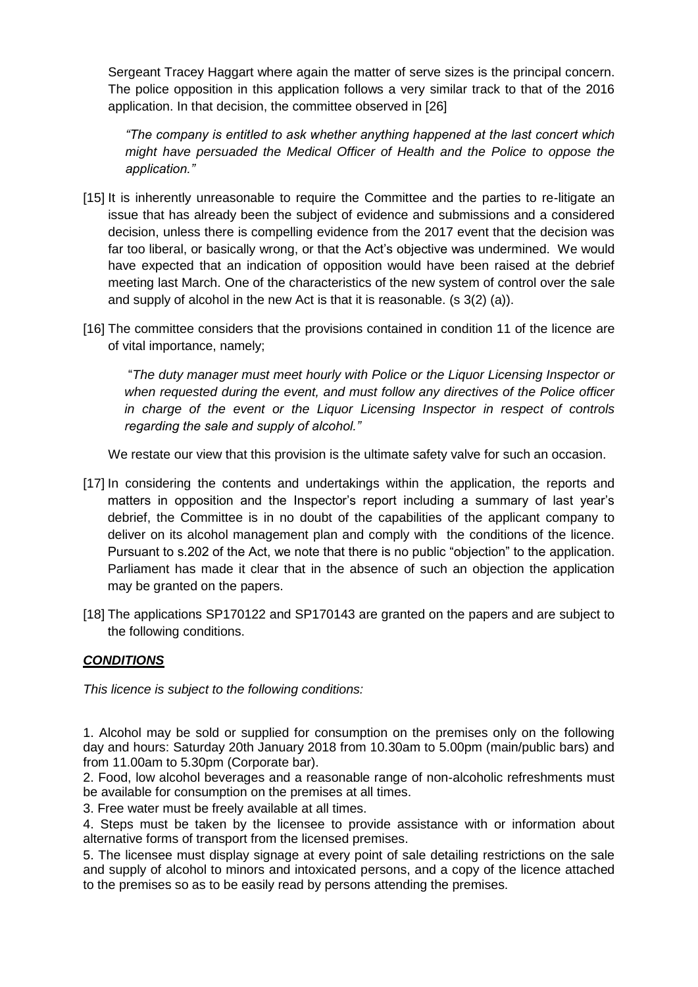Sergeant Tracey Haggart where again the matter of serve sizes is the principal concern. The police opposition in this application follows a very similar track to that of the 2016 application. In that decision, the committee observed in [26]

*"The company is entitled to ask whether anything happened at the last concert which might have persuaded the Medical Officer of Health and the Police to oppose the application."*

- [15] It is inherently unreasonable to require the Committee and the parties to re-litigate an issue that has already been the subject of evidence and submissions and a considered decision, unless there is compelling evidence from the 2017 event that the decision was far too liberal, or basically wrong, or that the Act's objective was undermined. We would have expected that an indication of opposition would have been raised at the debrief meeting last March. One of the characteristics of the new system of control over the sale and supply of alcohol in the new Act is that it is reasonable. (s 3(2) (a)).
- [16] The committee considers that the provisions contained in condition 11 of the licence are of vital importance, namely;

"*The duty manager must meet hourly with Police or the Liquor Licensing Inspector or when requested during the event, and must follow any directives of the Police officer in charge of the event or the Liquor Licensing Inspector in respect of controls regarding the sale and supply of alcohol."*

We restate our view that this provision is the ultimate safety valve for such an occasion.

- [17] In considering the contents and undertakings within the application, the reports and matters in opposition and the Inspector's report including a summary of last year's debrief, the Committee is in no doubt of the capabilities of the applicant company to deliver on its alcohol management plan and comply with the conditions of the licence. Pursuant to s.202 of the Act, we note that there is no public "objection" to the application. Parliament has made it clear that in the absence of such an objection the application may be granted on the papers.
- [18] The applications SP170122 and SP170143 are granted on the papers and are subject to the following conditions.

# *CONDITIONS*

*This licence is subject to the following conditions:*

1. Alcohol may be sold or supplied for consumption on the premises only on the following day and hours: Saturday 20th January 2018 from 10.30am to 5.00pm (main/public bars) and from 11.00am to 5.30pm (Corporate bar).

2. Food, low alcohol beverages and a reasonable range of non-alcoholic refreshments must be available for consumption on the premises at all times.

3. Free water must be freely available at all times.

4. Steps must be taken by the licensee to provide assistance with or information about alternative forms of transport from the licensed premises.

5. The licensee must display signage at every point of sale detailing restrictions on the sale and supply of alcohol to minors and intoxicated persons, and a copy of the licence attached to the premises so as to be easily read by persons attending the premises.